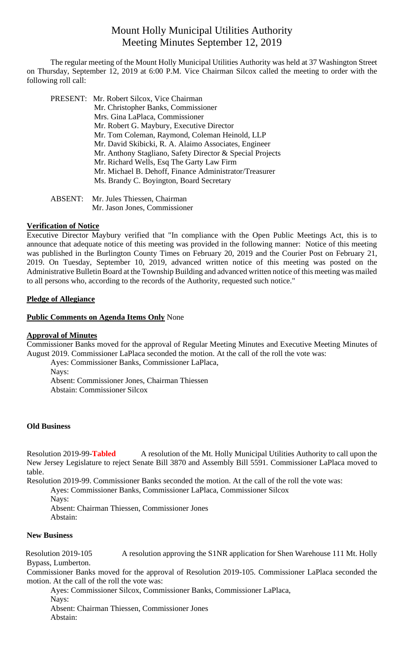# Mount Holly Municipal Utilities Authority Meeting Minutes September 12, 2019

The regular meeting of the Mount Holly Municipal Utilities Authority was held at 37 Washington Street on Thursday, September 12, 2019 at 6:00 P.M. Vice Chairman Silcox called the meeting to order with the following roll call:

PRESENT: Mr. Robert Silcox, Vice Chairman Mr. Christopher Banks, Commissioner Mrs. Gina LaPlaca, Commissioner Mr. Robert G. Maybury, Executive Director Mr. Tom Coleman, Raymond, Coleman Heinold, LLP Mr. David Skibicki, R. A. Alaimo Associates, Engineer Mr. Anthony Stagliano, Safety Director & Special Projects Mr. Richard Wells, Esq The Garty Law Firm Mr. Michael B. Dehoff, Finance Administrator/Treasurer Ms. Brandy C. Boyington, Board Secretary

ABSENT: Mr. Jules Thiessen, Chairman Mr. Jason Jones, Commissioner

## **Verification of Notice**

Executive Director Maybury verified that "In compliance with the Open Public Meetings Act, this is to announce that adequate notice of this meeting was provided in the following manner: Notice of this meeting was published in the Burlington County Times on February 20, 2019 and the Courier Post on February 21, 2019. On Tuesday, September 10, 2019, advanced written notice of this meeting was posted on the Administrative Bulletin Board at the Township Building and advanced written notice of this meeting was mailed to all persons who, according to the records of the Authority, requested such notice."

## **Pledge of Allegiance**

## **Public Comments on Agenda Items Only None**

#### **Approval of Minutes**

Commissioner Banks moved for the approval of Regular Meeting Minutes and Executive Meeting Minutes of August 2019. Commissioner LaPlaca seconded the motion. At the call of the roll the vote was:

Ayes: Commissioner Banks, Commissioner LaPlaca, Nays: Absent: Commissioner Jones, Chairman Thiessen Abstain: Commissioner Silcox

#### **Old Business**

Resolution 2019-99-**Tabled** A resolution of the Mt. Holly Municipal Utilities Authority to call upon the New Jersey Legislature to reject Senate Bill 3870 and Assembly Bill 5591. Commissioner LaPlaca moved to table.

Resolution 2019-99. Commissioner Banks seconded the motion. At the call of the roll the vote was:

Ayes: Commissioner Banks, Commissioner LaPlaca, Commissioner Silcox

Navs:

Absent: Chairman Thiessen, Commissioner Jones Abstain:

#### **New Business**

Resolution 2019-105 A resolution approving the S1NR application for Shen Warehouse 111 Mt. Holly Bypass, Lumberton.

Commissioner Banks moved for the approval of Resolution 2019-105. Commissioner LaPlaca seconded the motion. At the call of the roll the vote was:

Ayes: Commissioner Silcox, Commissioner Banks, Commissioner LaPlaca, Nays: Absent: Chairman Thiessen, Commissioner Jones Abstain: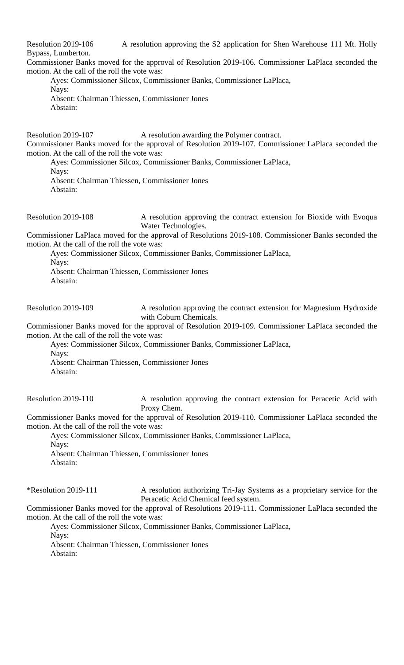Resolution 2019-106 A resolution approving the S2 application for Shen Warehouse 111 Mt. Holly Bypass, Lumberton.

Commissioner Banks moved for the approval of Resolution 2019-106. Commissioner LaPlaca seconded the motion. At the call of the roll the vote was:

Ayes: Commissioner Silcox, Commissioner Banks, Commissioner LaPlaca, Nays: Absent: Chairman Thiessen, Commissioner Jones Abstain:

Resolution 2019-107 A resolution awarding the Polymer contract. Commissioner Banks moved for the approval of Resolution 2019-107. Commissioner LaPlaca seconded the motion. At the call of the roll the vote was:

Ayes: Commissioner Silcox, Commissioner Banks, Commissioner LaPlaca, Nays: Absent: Chairman Thiessen, Commissioner Jones Abstain:

Resolution 2019-108 A resolution approving the contract extension for Bioxide with Evoqua Water Technologies.

Commissioner LaPlaca moved for the approval of Resolutions 2019-108. Commissioner Banks seconded the motion. At the call of the roll the vote was:

Ayes: Commissioner Silcox, Commissioner Banks, Commissioner LaPlaca, Nays: Absent: Chairman Thiessen, Commissioner Jones Abstain:

Resolution 2019-109 A resolution approving the contract extension for Magnesium Hydroxide with Coburn Chemicals.

Commissioner Banks moved for the approval of Resolution 2019-109. Commissioner LaPlaca seconded the motion. At the call of the roll the vote was:

Ayes: Commissioner Silcox, Commissioner Banks, Commissioner LaPlaca, Nays:

Absent: Chairman Thiessen, Commissioner Jones

Abstain:

Resolution 2019-110 A resolution approving the contract extension for Peracetic Acid with Proxy Chem.

Commissioner Banks moved for the approval of Resolution 2019-110. Commissioner LaPlaca seconded the motion. At the call of the roll the vote was:

Ayes: Commissioner Silcox, Commissioner Banks, Commissioner LaPlaca, Navs: Absent: Chairman Thiessen, Commissioner Jones Abstain:

\*Resolution 2019-111 A resolution authorizing Tri-Jay Systems as a proprietary service for the Peracetic Acid Chemical feed system.

Commissioner Banks moved for the approval of Resolutions 2019-111. Commissioner LaPlaca seconded the motion. At the call of the roll the vote was:

Ayes: Commissioner Silcox, Commissioner Banks, Commissioner LaPlaca, Nays:

Absent: Chairman Thiessen, Commissioner Jones Abstain: